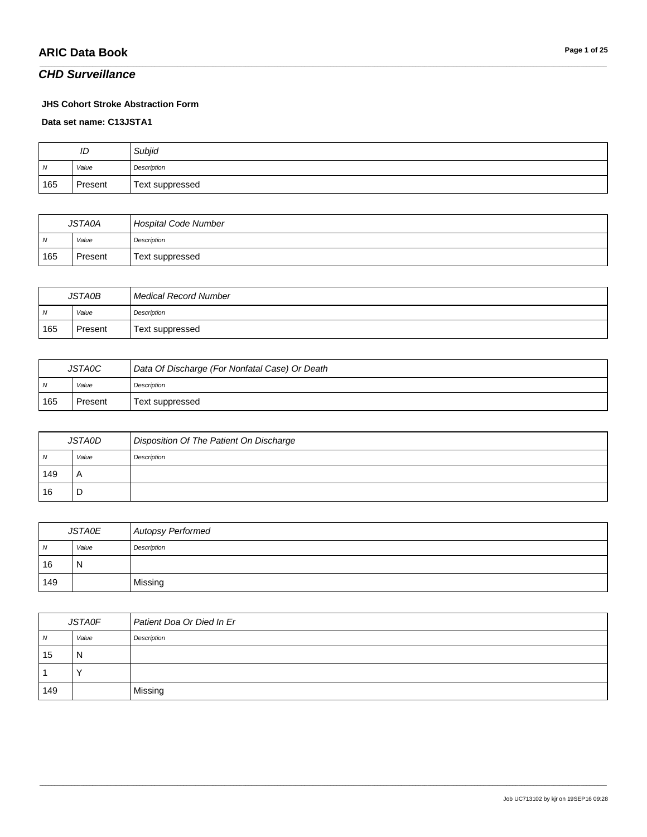#### *CHD Surveillance*

#### **JHS Cohort Stroke Abstraction Form**

**Data set name: C13JSTA1**

| ID             |         | Subjid          |
|----------------|---------|-----------------|
| $\overline{M}$ | Value   | Description     |
| 165            | Present | Text suppressed |

\_\_\_\_\_\_\_\_\_\_\_\_\_\_\_\_\_\_\_\_\_\_\_\_\_\_\_\_\_\_\_\_\_\_\_\_\_\_\_\_\_\_\_\_\_\_\_\_\_\_\_\_\_\_\_\_\_\_\_\_\_\_\_\_\_\_\_\_\_\_\_\_\_\_\_\_\_\_\_\_\_\_\_\_\_\_\_\_\_\_\_\_\_\_\_\_\_\_\_\_\_\_\_\_\_\_\_\_\_\_\_\_\_\_\_\_\_\_\_\_\_\_\_\_\_\_\_\_\_\_\_\_\_\_\_\_\_\_\_\_\_\_\_\_\_\_\_\_\_\_\_\_\_\_\_\_\_\_\_\_\_\_\_\_\_\_\_\_\_\_\_\_\_\_\_\_\_\_\_\_\_\_\_\_\_\_\_\_\_\_\_\_\_

| <b>JSTA0A</b>  |         | <b>Hospital Code Number</b> |
|----------------|---------|-----------------------------|
| $\overline{N}$ | Value   | Description                 |
| 165            | Present | Text suppressed             |

| <b>JSTA0B</b>  |         | Medical Record Number |
|----------------|---------|-----------------------|
| $\overline{N}$ | Value   | Description           |
| 165            | Present | Text suppressed       |

| <b>JSTA0C</b>  |         | Data Of Discharge (For Nonfatal Case) Or Death |
|----------------|---------|------------------------------------------------|
| $\overline{M}$ | Value   | Description                                    |
| 165            | Present | Text suppressed                                |

| <i><b>JSTA0D</b></i> |       | Disposition Of The Patient On Discharge |
|----------------------|-------|-----------------------------------------|
| N                    | Value | Description                             |
| 149                  | A     |                                         |
| 16                   | D     |                                         |

| <b>JSTA0E</b> |       | <b>Autopsy Performed</b> |
|---------------|-------|--------------------------|
| N             | Value | Description              |
| 16            | N     |                          |
| 149           |       | Missing                  |

| <b>JSTA0F</b>  |       | Patient Doa Or Died In Er |
|----------------|-------|---------------------------|
| $\overline{N}$ | Value | Description               |
| 15             | N     |                           |
|                |       |                           |
| 149            |       | Missing                   |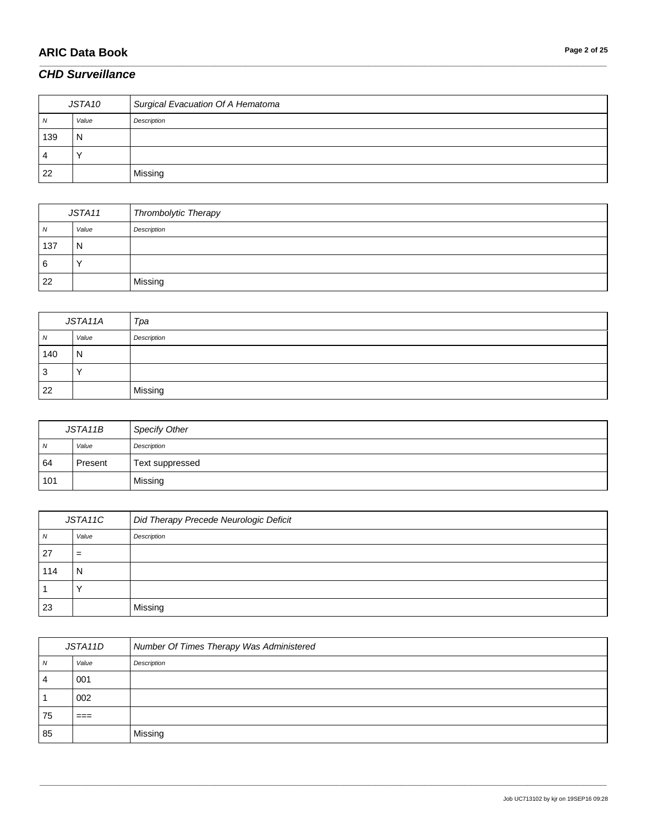# **ARIC Data Book Page 2 of 25**

#### *CHD Surveillance*

| JSTA10 |       | Surgical Evacuation Of A Hematoma |
|--------|-------|-----------------------------------|
| N      | Value | Description                       |
| 139    | N     |                                   |
| 4      |       |                                   |
| 22     |       | Missing                           |

\_\_\_\_\_\_\_\_\_\_\_\_\_\_\_\_\_\_\_\_\_\_\_\_\_\_\_\_\_\_\_\_\_\_\_\_\_\_\_\_\_\_\_\_\_\_\_\_\_\_\_\_\_\_\_\_\_\_\_\_\_\_\_\_\_\_\_\_\_\_\_\_\_\_\_\_\_\_\_\_\_\_\_\_\_\_\_\_\_\_\_\_\_\_\_\_\_\_\_\_\_\_\_\_\_\_\_\_\_\_\_\_\_\_\_\_\_\_\_\_\_\_\_\_\_\_\_\_\_\_\_\_\_\_\_\_\_\_\_\_\_\_\_\_\_\_\_\_\_\_\_\_\_\_\_\_\_\_\_\_\_\_\_\_\_\_\_\_\_\_\_\_\_\_\_\_\_\_\_\_\_\_\_\_\_\_\_\_\_\_\_\_\_

| JSTA11         |       | Thrombolytic Therapy |
|----------------|-------|----------------------|
| $\overline{N}$ | Value | Description          |
| 137            | N     |                      |
| 16             |       |                      |
| 22             |       | Missing              |

| JSTA11A |           | Tpa         |
|---------|-----------|-------------|
| N       | Value     | Description |
| 140     | N         |             |
| 3       | $\lambda$ |             |
| 22      |           | Missing     |

| JSTA11B        |         | <b>Specify Other</b> |
|----------------|---------|----------------------|
| $\overline{N}$ | Value   | Description          |
| 64             | Present | Text suppressed      |
| 101            |         | Missing              |

| JSTA11C |       | Did Therapy Precede Neurologic Deficit |
|---------|-------|----------------------------------------|
| N       | Value | Description                            |
| -27     | $=$   |                                        |
| 114     | N     |                                        |
|         |       |                                        |
| 23      |       | Missing                                |

| JSTA11D |       | Number Of Times Therapy Was Administered |
|---------|-------|------------------------------------------|
| N       | Value | Description                              |
| 4       | 001   |                                          |
|         | 002   |                                          |
| 75      | $==$  |                                          |
| 85      |       | Missing                                  |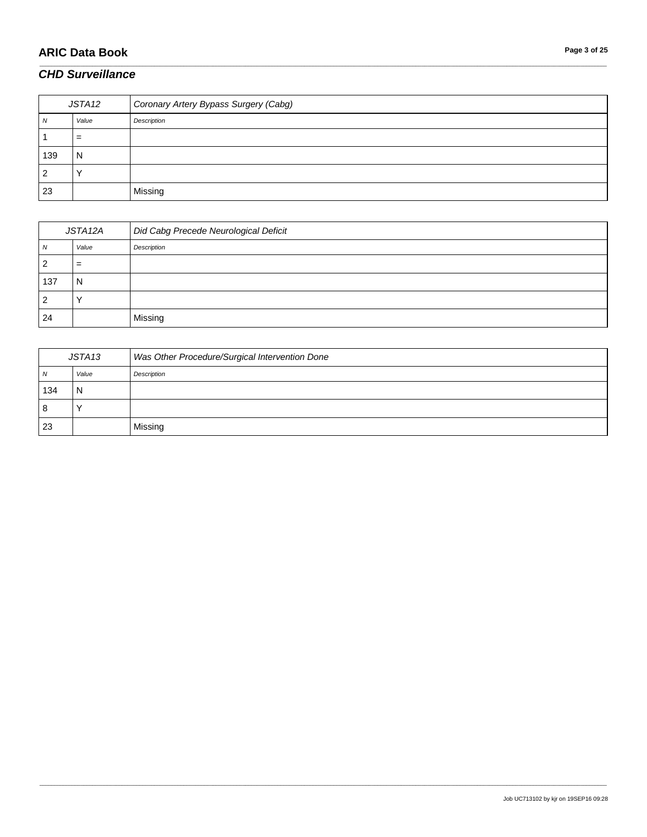# **ARIC Data Book Page 3 of 25**

#### *CHD Surveillance*

| JSTA12 |              | Coronary Artery Bypass Surgery (Cabg) |
|--------|--------------|---------------------------------------|
| 7V     | Value        | Description                           |
|        | $=$          |                                       |
| 139    | N            |                                       |
|        | $\checkmark$ |                                       |
| 23     |              | Missing                               |

\_\_\_\_\_\_\_\_\_\_\_\_\_\_\_\_\_\_\_\_\_\_\_\_\_\_\_\_\_\_\_\_\_\_\_\_\_\_\_\_\_\_\_\_\_\_\_\_\_\_\_\_\_\_\_\_\_\_\_\_\_\_\_\_\_\_\_\_\_\_\_\_\_\_\_\_\_\_\_\_\_\_\_\_\_\_\_\_\_\_\_\_\_\_\_\_\_\_\_\_\_\_\_\_\_\_\_\_\_\_\_\_\_\_\_\_\_\_\_\_\_\_\_\_\_\_\_\_\_\_\_\_\_\_\_\_\_\_\_\_\_\_\_\_\_\_\_\_\_\_\_\_\_\_\_\_\_\_\_\_\_\_\_\_\_\_\_\_\_\_\_\_\_\_\_\_\_\_\_\_\_\_\_\_\_\_\_\_\_\_\_\_\_

| JSTA12A |       | Did Cabg Precede Neurological Deficit |
|---------|-------|---------------------------------------|
| ΙV      | Value | Description                           |
|         | =     |                                       |
| 137     | N     |                                       |
|         |       |                                       |
| 24      |       | Missing                               |

| JSTA13       |       | Was Other Procedure/Surgical Intervention Done |
|--------------|-------|------------------------------------------------|
| $\mathbf{v}$ | Value | Description                                    |
| 134          | N     |                                                |
| 8            |       |                                                |
| 23           |       | Missing                                        |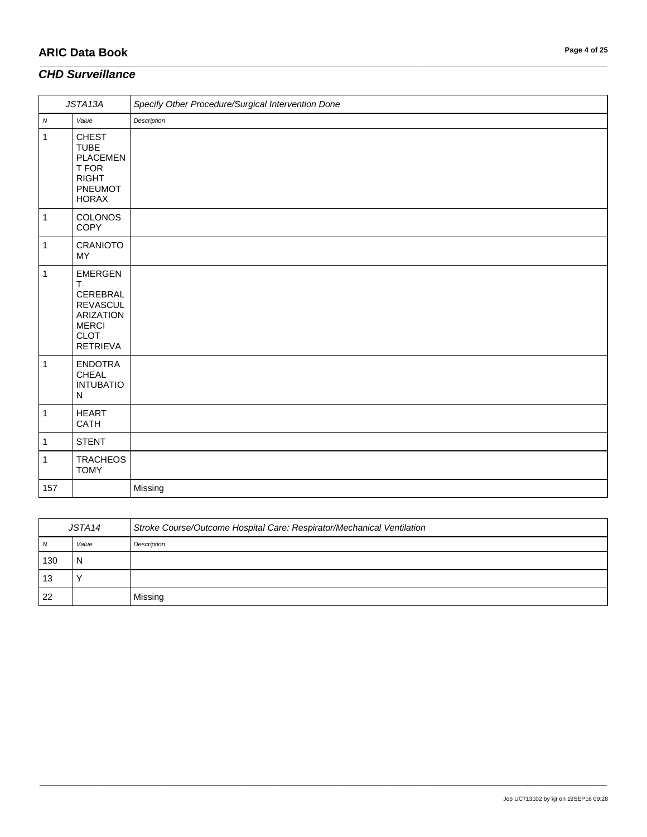# **ARIC Data Book Page 4 of 25**

#### *CHD Surveillance*

| JSTA13A      |                                                                                                                          | Specify Other Procedure/Surgical Intervention Done |
|--------------|--------------------------------------------------------------------------------------------------------------------------|----------------------------------------------------|
| ${\cal N}$   | Value                                                                                                                    | Description                                        |
| $\mathbf{1}$ | <b>CHEST</b><br><b>TUBE</b><br><b>PLACEMEN</b><br>T FOR<br><b>RIGHT</b><br>PNEUMOT<br><b>HORAX</b>                       |                                                    |
| $\mathbf{1}$ | <b>COLONOS</b><br>COPY                                                                                                   |                                                    |
| $\mathbf{1}$ | <b>CRANIOTO</b><br><b>MY</b>                                                                                             |                                                    |
| 1            | <b>EMERGEN</b><br>Τ<br>CEREBRAL<br><b>REVASCUL</b><br><b>ARIZATION</b><br><b>MERCI</b><br><b>CLOT</b><br><b>RETRIEVA</b> |                                                    |
| $\mathbf{1}$ | <b>ENDOTRA</b><br>CHEAL<br><b>INTUBATIO</b><br>${\sf N}$                                                                 |                                                    |
| $\mathbf{1}$ | <b>HEART</b><br>CATH                                                                                                     |                                                    |
| 1            | <b>STENT</b>                                                                                                             |                                                    |
| 1            | <b>TRACHEOS</b><br><b>TOMY</b>                                                                                           |                                                    |
| 157          |                                                                                                                          | Missing                                            |

\_\_\_\_\_\_\_\_\_\_\_\_\_\_\_\_\_\_\_\_\_\_\_\_\_\_\_\_\_\_\_\_\_\_\_\_\_\_\_\_\_\_\_\_\_\_\_\_\_\_\_\_\_\_\_\_\_\_\_\_\_\_\_\_\_\_\_\_\_\_\_\_\_\_\_\_\_\_\_\_\_\_\_\_\_\_\_\_\_\_\_\_\_\_\_\_\_\_\_\_\_\_\_\_\_\_\_\_\_\_\_\_\_\_\_\_\_\_\_\_\_\_\_\_\_\_\_\_\_\_\_\_\_\_\_\_\_\_\_\_\_\_\_\_\_\_\_\_\_\_\_\_\_\_\_\_\_\_\_\_\_\_\_\_\_\_\_\_\_\_\_\_\_\_\_\_\_\_\_\_\_\_\_\_\_\_\_\_\_\_\_\_\_

| JSTA14 |       | Stroke Course/Outcome Hospital Care: Respirator/Mechanical Ventilation |
|--------|-------|------------------------------------------------------------------------|
| N      | Value | Description                                                            |
| 130    | N     |                                                                        |
| 13     |       |                                                                        |
| 22     |       | Missing                                                                |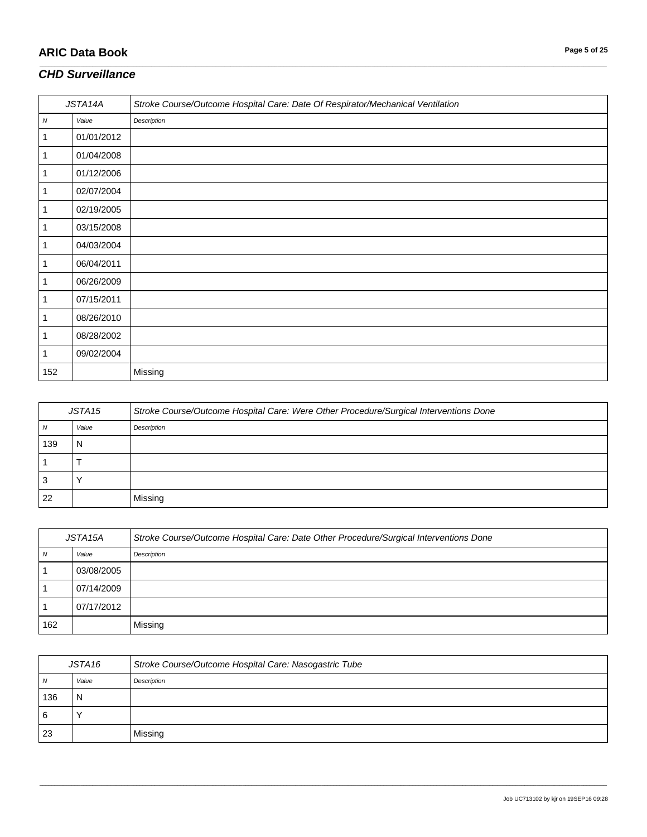# **ARIC Data Book Page 5 of 25**

#### *CHD Surveillance*

| JSTA14A    |            | Stroke Course/Outcome Hospital Care: Date Of Respirator/Mechanical Ventilation |
|------------|------------|--------------------------------------------------------------------------------|
| ${\cal N}$ | Value      | Description                                                                    |
| 1          | 01/01/2012 |                                                                                |
| 1          | 01/04/2008 |                                                                                |
| 1          | 01/12/2006 |                                                                                |
| 1          | 02/07/2004 |                                                                                |
| 1          | 02/19/2005 |                                                                                |
| 1          | 03/15/2008 |                                                                                |
| 1          | 04/03/2004 |                                                                                |
| 1          | 06/04/2011 |                                                                                |
| 1          | 06/26/2009 |                                                                                |
|            | 07/15/2011 |                                                                                |
| 1          | 08/26/2010 |                                                                                |
| 1          | 08/28/2002 |                                                                                |
| 1          | 09/02/2004 |                                                                                |
| 152        |            | Missing                                                                        |

\_\_\_\_\_\_\_\_\_\_\_\_\_\_\_\_\_\_\_\_\_\_\_\_\_\_\_\_\_\_\_\_\_\_\_\_\_\_\_\_\_\_\_\_\_\_\_\_\_\_\_\_\_\_\_\_\_\_\_\_\_\_\_\_\_\_\_\_\_\_\_\_\_\_\_\_\_\_\_\_\_\_\_\_\_\_\_\_\_\_\_\_\_\_\_\_\_\_\_\_\_\_\_\_\_\_\_\_\_\_\_\_\_\_\_\_\_\_\_\_\_\_\_\_\_\_\_\_\_\_\_\_\_\_\_\_\_\_\_\_\_\_\_\_\_\_\_\_\_\_\_\_\_\_\_\_\_\_\_\_\_\_\_\_\_\_\_\_\_\_\_\_\_\_\_\_\_\_\_\_\_\_\_\_\_\_\_\_\_\_\_\_\_

| JSTA15 |       | Stroke Course/Outcome Hospital Care: Were Other Procedure/Surgical Interventions Done |
|--------|-------|---------------------------------------------------------------------------------------|
| N      | Value | Description                                                                           |
| 139    | N     |                                                                                       |
|        |       |                                                                                       |
| 3      |       |                                                                                       |
| 22     |       | Missing                                                                               |

| JSTA15A |            | Stroke Course/Outcome Hospital Care: Date Other Procedure/Surgical Interventions Done |
|---------|------------|---------------------------------------------------------------------------------------|
| N       | Value      | Description                                                                           |
|         | 03/08/2005 |                                                                                       |
|         | 07/14/2009 |                                                                                       |
|         | 07/17/2012 |                                                                                       |
| 162     |            | Missing                                                                               |

| JSTA16 |       | Stroke Course/Outcome Hospital Care: Nasogastric Tube |
|--------|-------|-------------------------------------------------------|
| N      | Value | Description                                           |
| 136    | N     |                                                       |
| 6      |       |                                                       |
| 23     |       | Missing                                               |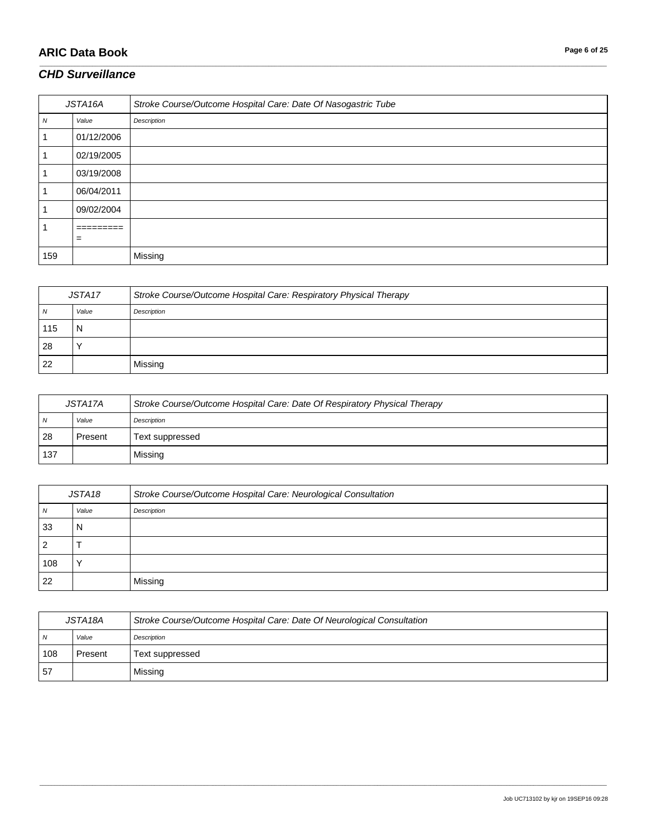# **ARIC Data Book Page 6 of 25**

#### *CHD Surveillance*

| JSTA16A |                         | Stroke Course/Outcome Hospital Care: Date Of Nasogastric Tube |
|---------|-------------------------|---------------------------------------------------------------|
| N       | Value                   | Description                                                   |
|         | 01/12/2006              |                                                               |
|         | 02/19/2005              |                                                               |
|         | 03/19/2008              |                                                               |
|         | 06/04/2011              |                                                               |
|         | 09/02/2004              |                                                               |
|         | ----------<br>_________ |                                                               |
|         | $=$                     |                                                               |
| 159     |                         | Missing                                                       |

\_\_\_\_\_\_\_\_\_\_\_\_\_\_\_\_\_\_\_\_\_\_\_\_\_\_\_\_\_\_\_\_\_\_\_\_\_\_\_\_\_\_\_\_\_\_\_\_\_\_\_\_\_\_\_\_\_\_\_\_\_\_\_\_\_\_\_\_\_\_\_\_\_\_\_\_\_\_\_\_\_\_\_\_\_\_\_\_\_\_\_\_\_\_\_\_\_\_\_\_\_\_\_\_\_\_\_\_\_\_\_\_\_\_\_\_\_\_\_\_\_\_\_\_\_\_\_\_\_\_\_\_\_\_\_\_\_\_\_\_\_\_\_\_\_\_\_\_\_\_\_\_\_\_\_\_\_\_\_\_\_\_\_\_\_\_\_\_\_\_\_\_\_\_\_\_\_\_\_\_\_\_\_\_\_\_\_\_\_\_\_\_\_

| JSTA <sub>17</sub> |       | Stroke Course/Outcome Hospital Care: Respiratory Physical Therapy |
|--------------------|-------|-------------------------------------------------------------------|
| N                  | Value | Description                                                       |
| 115                |       |                                                                   |
| 28                 |       |                                                                   |
| 22                 |       | Missina                                                           |

| JSTA17A |         | Stroke Course/Outcome Hospital Care: Date Of Respiratory Physical Therapy |
|---------|---------|---------------------------------------------------------------------------|
| N       | Value   | Description                                                               |
| 28      | Present | Text suppressed                                                           |
| . 137   |         | Missing                                                                   |

| JSTA18 |       | Stroke Course/Outcome Hospital Care: Neurological Consultation |
|--------|-------|----------------------------------------------------------------|
| N      | Value | Description                                                    |
| 33     | N     |                                                                |
| 2      |       |                                                                |
| 108    |       |                                                                |
| 22     |       | Missing                                                        |

| JSTA18A |         | Stroke Course/Outcome Hospital Care: Date Of Neurological Consultation |
|---------|---------|------------------------------------------------------------------------|
| N       | Value   | Description                                                            |
| 108     | Present | Text suppressed                                                        |
| 57      |         | Missing                                                                |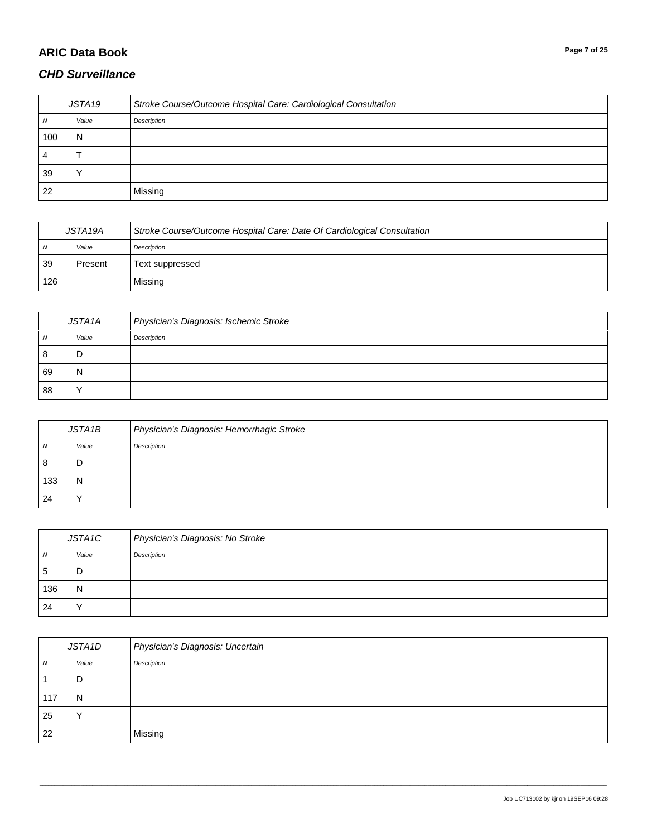# **ARIC Data Book Page 7 of 25**

# *CHD Surveillance*

| JSTA19 |       | Stroke Course/Outcome Hospital Care: Cardiological Consultation |
|--------|-------|-----------------------------------------------------------------|
|        | Value | Description                                                     |
| 100    | N     |                                                                 |
| 4      |       |                                                                 |
| 39     |       |                                                                 |
| 22     |       | Missing                                                         |

\_\_\_\_\_\_\_\_\_\_\_\_\_\_\_\_\_\_\_\_\_\_\_\_\_\_\_\_\_\_\_\_\_\_\_\_\_\_\_\_\_\_\_\_\_\_\_\_\_\_\_\_\_\_\_\_\_\_\_\_\_\_\_\_\_\_\_\_\_\_\_\_\_\_\_\_\_\_\_\_\_\_\_\_\_\_\_\_\_\_\_\_\_\_\_\_\_\_\_\_\_\_\_\_\_\_\_\_\_\_\_\_\_\_\_\_\_\_\_\_\_\_\_\_\_\_\_\_\_\_\_\_\_\_\_\_\_\_\_\_\_\_\_\_\_\_\_\_\_\_\_\_\_\_\_\_\_\_\_\_\_\_\_\_\_\_\_\_\_\_\_\_\_\_\_\_\_\_\_\_\_\_\_\_\_\_\_\_\_\_\_\_\_

| JSTA19A |         | Stroke Course/Outcome Hospital Care: Date Of Cardiological Consultation |
|---------|---------|-------------------------------------------------------------------------|
| N.      | Value   | Description                                                             |
| 39      | Present | Text suppressed                                                         |
| 126     |         | Missing                                                                 |

| JSTA1A |       | Physician's Diagnosis: Ischemic Stroke |
|--------|-------|----------------------------------------|
| N      | Value | Description                            |
| 8      | D     |                                        |
| 69     | N     |                                        |
| 88     |       |                                        |

| JSTA1B |       | Physician's Diagnosis: Hemorrhagic Stroke |
|--------|-------|-------------------------------------------|
| N      | Value | Description                               |
| 8      | υ     |                                           |
| 133    | N     |                                           |
| 24     |       |                                           |

| JSTA1C       |           | Physician's Diagnosis: No Stroke |
|--------------|-----------|----------------------------------|
| N            | Value     | Description                      |
| <sub>5</sub> | D         |                                  |
| 136          | N         |                                  |
| 24           | $\lambda$ |                                  |

| JSTA1D   |           | Physician's Diagnosis: Uncertain |
|----------|-----------|----------------------------------|
| <b>N</b> | Value     | Description                      |
|          | D         |                                  |
| 117      | N         |                                  |
| 25       | $\lambda$ |                                  |
| 22       |           | Missing                          |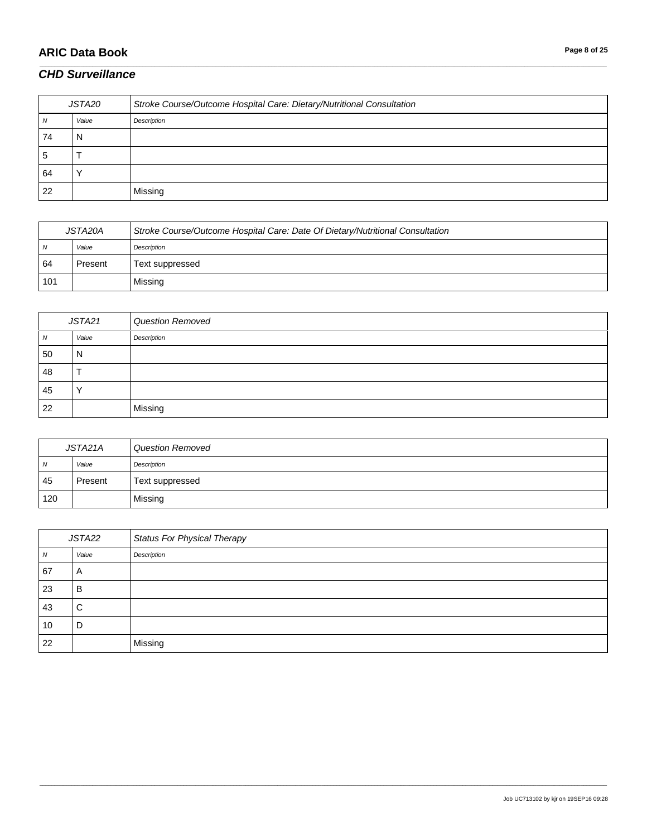# **ARIC Data Book Page 8 of 25**

#### *CHD Surveillance*

| JSTA20       |       | Stroke Course/Outcome Hospital Care: Dietary/Nutritional Consultation |
|--------------|-------|-----------------------------------------------------------------------|
| N            | Value | Description                                                           |
| 74           |       |                                                                       |
| <sub>5</sub> |       |                                                                       |
| 64           |       |                                                                       |
| 22           |       | Missing                                                               |

\_\_\_\_\_\_\_\_\_\_\_\_\_\_\_\_\_\_\_\_\_\_\_\_\_\_\_\_\_\_\_\_\_\_\_\_\_\_\_\_\_\_\_\_\_\_\_\_\_\_\_\_\_\_\_\_\_\_\_\_\_\_\_\_\_\_\_\_\_\_\_\_\_\_\_\_\_\_\_\_\_\_\_\_\_\_\_\_\_\_\_\_\_\_\_\_\_\_\_\_\_\_\_\_\_\_\_\_\_\_\_\_\_\_\_\_\_\_\_\_\_\_\_\_\_\_\_\_\_\_\_\_\_\_\_\_\_\_\_\_\_\_\_\_\_\_\_\_\_\_\_\_\_\_\_\_\_\_\_\_\_\_\_\_\_\_\_\_\_\_\_\_\_\_\_\_\_\_\_\_\_\_\_\_\_\_\_\_\_\_\_\_\_

| JSTA20A |         | Stroke Course/Outcome Hospital Care: Date Of Dietary/Nutritional Consultation |
|---------|---------|-------------------------------------------------------------------------------|
| N       | Value   | Description                                                                   |
| 64      | Present | Text suppressed                                                               |
| 101     |         | Missing                                                                       |

| JSTA21 |           | <b>Question Removed</b> |
|--------|-----------|-------------------------|
| N      | Value     | Description             |
| 50     | N         |                         |
| 48     |           |                         |
| 45     | $\lambda$ |                         |
| 22     |           | Missing                 |

| JSTA21A        |         | <b>Question Removed</b> |
|----------------|---------|-------------------------|
| $\overline{N}$ | Value   | Description             |
| 45             | Present | Text suppressed         |
| 120            |         | Missing                 |

| JSTA22 |       | <b>Status For Physical Therapy</b> |
|--------|-------|------------------------------------|
| N      | Value | Description                        |
| 67     | A     |                                    |
| 23     | B     |                                    |
| 43     | C     |                                    |
| 10     | D     |                                    |
| 22     |       | Missing                            |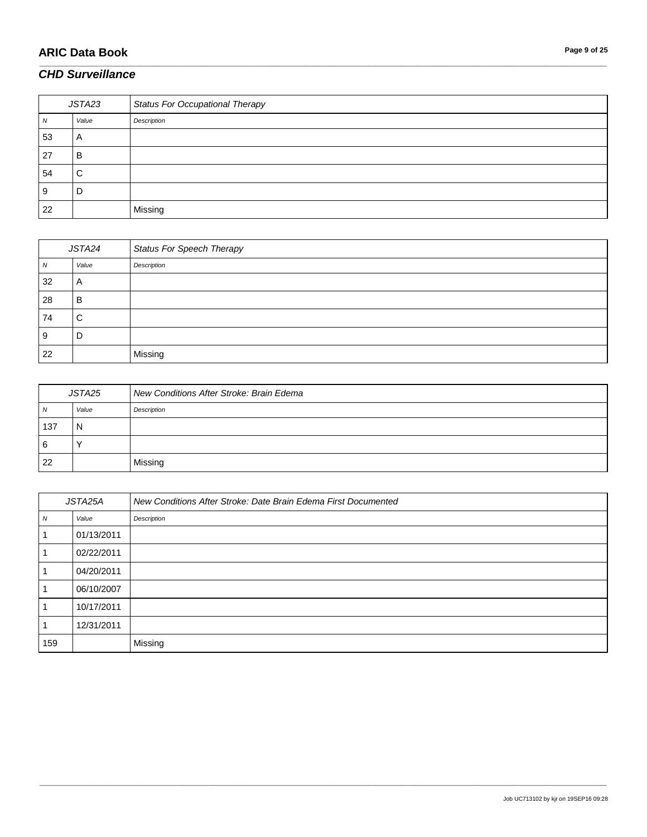# **ARIC Data Book Page 9 of 25**

#### *CHD Surveillance*

| JSTA23 |       | <b>Status For Occupational Therapy</b> |
|--------|-------|----------------------------------------|
| IV.    | Value | Description                            |
| 53     | A     |                                        |
| 27     | в     |                                        |
| 54     | С     |                                        |
| 9      | D     |                                        |
| 22     |       | Missing                                |

\_\_\_\_\_\_\_\_\_\_\_\_\_\_\_\_\_\_\_\_\_\_\_\_\_\_\_\_\_\_\_\_\_\_\_\_\_\_\_\_\_\_\_\_\_\_\_\_\_\_\_\_\_\_\_\_\_\_\_\_\_\_\_\_\_\_\_\_\_\_\_\_\_\_\_\_\_\_\_\_\_\_\_\_\_\_\_\_\_\_\_\_\_\_\_\_\_\_\_\_\_\_\_\_\_\_\_\_\_\_\_\_\_\_\_\_\_\_\_\_\_\_\_\_\_\_\_\_\_\_\_\_\_\_\_\_\_\_\_\_\_\_\_\_\_\_\_\_\_\_\_\_\_\_\_\_\_\_\_\_\_\_\_\_\_\_\_\_\_\_\_\_\_\_\_\_\_\_\_\_\_\_\_\_\_\_\_\_\_\_\_\_\_

| JSTA24 |       | <b>Status For Speech Therapy</b> |
|--------|-------|----------------------------------|
| ΙV     | Value | Description                      |
| 32     | A     |                                  |
| 28     | В     |                                  |
| 74     | С     |                                  |
| 9      | D     |                                  |
| 22     |       | Missing                          |

| JSTA25 |       | New Conditions After Stroke: Brain Edema |
|--------|-------|------------------------------------------|
| N      | Value | Description                              |
| 137    | N     |                                          |
| 6      |       |                                          |
| 22     |       | Missino                                  |

| JSTA25A          |            | New Conditions After Stroke: Date Brain Edema First Documented |
|------------------|------------|----------------------------------------------------------------|
| $\boldsymbol{N}$ | Value      | Description                                                    |
|                  | 01/13/2011 |                                                                |
|                  | 02/22/2011 |                                                                |
|                  | 04/20/2011 |                                                                |
|                  | 06/10/2007 |                                                                |
|                  | 10/17/2011 |                                                                |
|                  | 12/31/2011 |                                                                |
| 159              |            | Missing                                                        |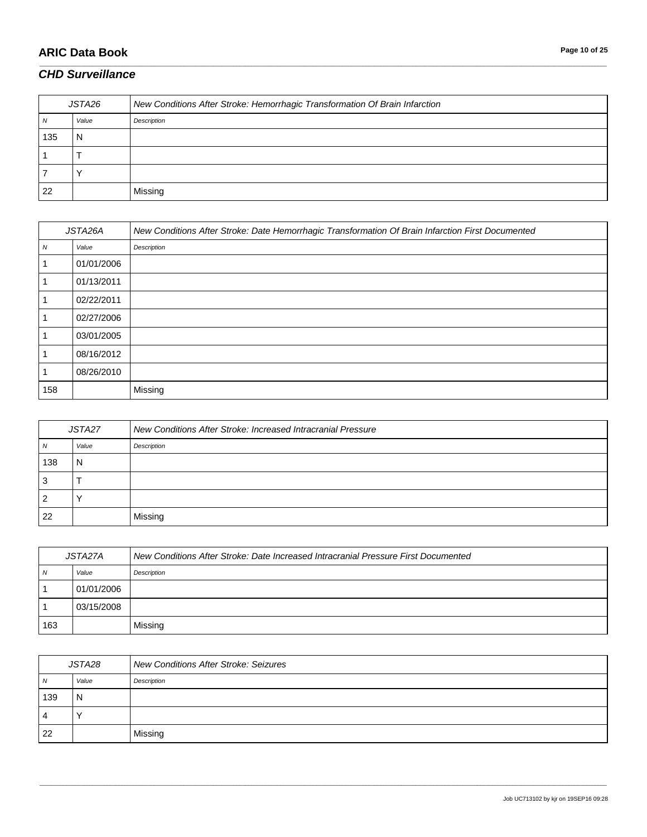## **ARIC Data Book Page 10 of 25**

### *CHD Surveillance*

| JSTA26 |       | New Conditions After Stroke: Hemorrhagic Transformation Of Brain Infarction |
|--------|-------|-----------------------------------------------------------------------------|
| N      | Value | Description                                                                 |
| 135    |       |                                                                             |
|        |       |                                                                             |
|        |       |                                                                             |
| 22     |       | Missing                                                                     |

\_\_\_\_\_\_\_\_\_\_\_\_\_\_\_\_\_\_\_\_\_\_\_\_\_\_\_\_\_\_\_\_\_\_\_\_\_\_\_\_\_\_\_\_\_\_\_\_\_\_\_\_\_\_\_\_\_\_\_\_\_\_\_\_\_\_\_\_\_\_\_\_\_\_\_\_\_\_\_\_\_\_\_\_\_\_\_\_\_\_\_\_\_\_\_\_\_\_\_\_\_\_\_\_\_\_\_\_\_\_\_\_\_\_\_\_\_\_\_\_\_\_\_\_\_\_\_\_\_\_\_\_\_\_\_\_\_\_\_\_\_\_\_\_\_\_\_\_\_\_\_\_\_\_\_\_\_\_\_\_\_\_\_\_\_\_\_\_\_\_\_\_\_\_\_\_\_\_\_\_\_\_\_\_\_\_\_\_\_\_\_\_\_

| JSTA26A          |            | New Conditions After Stroke: Date Hemorrhagic Transformation Of Brain Infarction First Documented |
|------------------|------------|---------------------------------------------------------------------------------------------------|
| $\boldsymbol{N}$ | Value      | Description                                                                                       |
|                  | 01/01/2006 |                                                                                                   |
|                  | 01/13/2011 |                                                                                                   |
|                  | 02/22/2011 |                                                                                                   |
|                  | 02/27/2006 |                                                                                                   |
|                  | 03/01/2005 |                                                                                                   |
|                  | 08/16/2012 |                                                                                                   |
|                  | 08/26/2010 |                                                                                                   |
| 158              |            | Missing                                                                                           |

| JSTA27 |       | New Conditions After Stroke: Increased Intracranial Pressure |
|--------|-------|--------------------------------------------------------------|
| Ν      | Value | Description                                                  |
| 138    | N     |                                                              |
|        |       |                                                              |
| 2      |       |                                                              |
| 22     |       | Missing                                                      |

| JSTA27A |            | New Conditions After Stroke: Date Increased Intracranial Pressure First Documented |
|---------|------------|------------------------------------------------------------------------------------|
| N       | Value      | Description                                                                        |
|         | 01/01/2006 |                                                                                    |
|         | 03/15/2008 |                                                                                    |
| 163     |            | Missing                                                                            |

| JSTA28 |       | <b>New Conditions After Stroke: Seizures</b> |
|--------|-------|----------------------------------------------|
| N      | Value | Description                                  |
| 139    | N     |                                              |
| 4      |       |                                              |
| 22     |       | Missing                                      |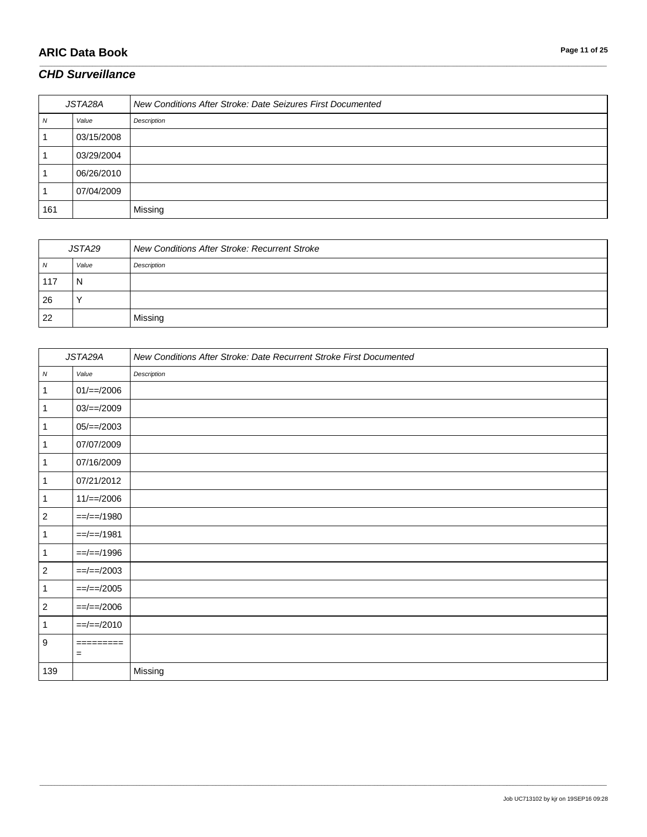# **ARIC Data Book Page 11 of 25**

#### *CHD Surveillance*

| JSTA28A |            | New Conditions After Stroke: Date Seizures First Documented |
|---------|------------|-------------------------------------------------------------|
| N       | Value      | Description                                                 |
|         | 03/15/2008 |                                                             |
|         | 03/29/2004 |                                                             |
|         | 06/26/2010 |                                                             |
|         | 07/04/2009 |                                                             |
| 161     |            | Missing                                                     |

\_\_\_\_\_\_\_\_\_\_\_\_\_\_\_\_\_\_\_\_\_\_\_\_\_\_\_\_\_\_\_\_\_\_\_\_\_\_\_\_\_\_\_\_\_\_\_\_\_\_\_\_\_\_\_\_\_\_\_\_\_\_\_\_\_\_\_\_\_\_\_\_\_\_\_\_\_\_\_\_\_\_\_\_\_\_\_\_\_\_\_\_\_\_\_\_\_\_\_\_\_\_\_\_\_\_\_\_\_\_\_\_\_\_\_\_\_\_\_\_\_\_\_\_\_\_\_\_\_\_\_\_\_\_\_\_\_\_\_\_\_\_\_\_\_\_\_\_\_\_\_\_\_\_\_\_\_\_\_\_\_\_\_\_\_\_\_\_\_\_\_\_\_\_\_\_\_\_\_\_\_\_\_\_\_\_\_\_\_\_\_\_\_

| JSTA29 |       | New Conditions After Stroke: Recurrent Stroke |
|--------|-------|-----------------------------------------------|
| N      | Value | Description                                   |
| .117   | N     |                                               |
| 26     |       |                                               |
| 22     |       | Missing                                       |

| JSTA29A          |                          | New Conditions After Stroke: Date Recurrent Stroke First Documented |
|------------------|--------------------------|---------------------------------------------------------------------|
| ${\cal N}$       | Value                    | Description                                                         |
| $\mathbf{1}$     | $01/\equiv 2006$         |                                                                     |
| $\mathbf{1}$     | $03/==/2009$             |                                                                     |
| $\mathbf{1}$     | $05/==/2003$             |                                                                     |
| $\mathbf{1}$     | 07/07/2009               |                                                                     |
| $\mathbf{1}$     | 07/16/2009               |                                                                     |
| $\mathbf{1}$     | 07/21/2012               |                                                                     |
| $\mathbf{1}$     | $11/==/2006$             |                                                                     |
| $\sqrt{2}$       | $==-/=-/1980$            |                                                                     |
| $\mathbf{1}$     | $=$ $=$ / $=$ $-$ / 1981 |                                                                     |
| $\mathbf{1}$     | $=$ $=$ / $=$ $-$ /1996  |                                                                     |
| $\sqrt{2}$       | $==/==/2003$             |                                                                     |
| $\mathbf{1}$     | $==/==/2005$             |                                                                     |
| $\sqrt{2}$       | $==-2006$                |                                                                     |
| $\mathbf{1}$     | $=$ $=$ / $=$ /2010      |                                                                     |
| $\boldsymbol{9}$ | =========<br>$=$         |                                                                     |
| 139              |                          | Missing                                                             |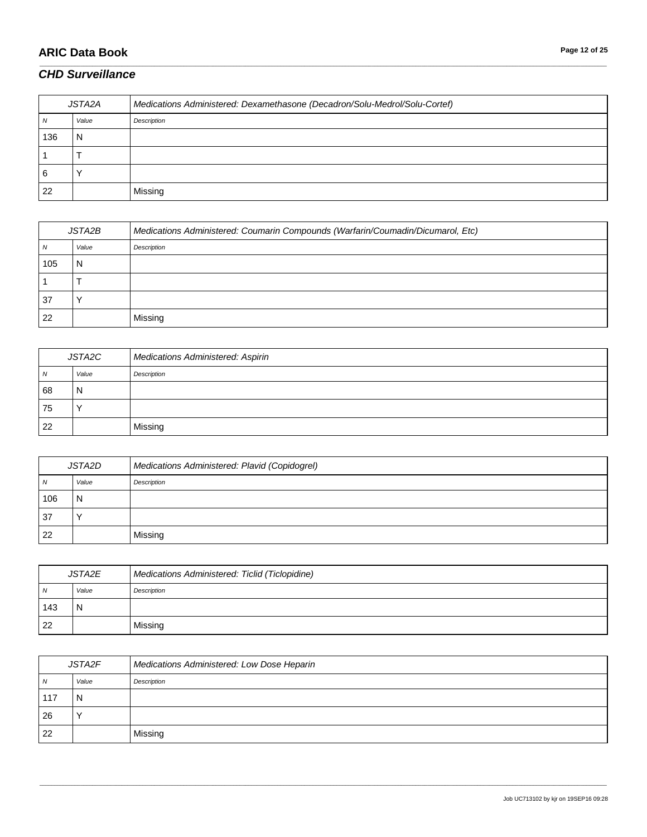# **ARIC Data Book Page 12 of 25**

#### *CHD Surveillance*

| JSTA2A |       | Medications Administered: Dexamethasone (Decadron/Solu-Medrol/Solu-Cortef) |
|--------|-------|----------------------------------------------------------------------------|
|        | Value | Description                                                                |
| 136    | N     |                                                                            |
|        |       |                                                                            |
| 6      |       |                                                                            |
| 22     |       | Missing                                                                    |

\_\_\_\_\_\_\_\_\_\_\_\_\_\_\_\_\_\_\_\_\_\_\_\_\_\_\_\_\_\_\_\_\_\_\_\_\_\_\_\_\_\_\_\_\_\_\_\_\_\_\_\_\_\_\_\_\_\_\_\_\_\_\_\_\_\_\_\_\_\_\_\_\_\_\_\_\_\_\_\_\_\_\_\_\_\_\_\_\_\_\_\_\_\_\_\_\_\_\_\_\_\_\_\_\_\_\_\_\_\_\_\_\_\_\_\_\_\_\_\_\_\_\_\_\_\_\_\_\_\_\_\_\_\_\_\_\_\_\_\_\_\_\_\_\_\_\_\_\_\_\_\_\_\_\_\_\_\_\_\_\_\_\_\_\_\_\_\_\_\_\_\_\_\_\_\_\_\_\_\_\_\_\_\_\_\_\_\_\_\_\_\_\_

| JSTA2B |       | Medications Administered: Coumarin Compounds (Warfarin/Coumadin/Dicumarol, Etc) |
|--------|-------|---------------------------------------------------------------------------------|
| ΙV     | Value | Description                                                                     |
| 105    | N     |                                                                                 |
|        |       |                                                                                 |
| 37     |       |                                                                                 |
| 22     |       | Missing                                                                         |

| JSTA2C |       | Medications Administered: Aspirin |
|--------|-------|-----------------------------------|
| N      | Value | Description                       |
| 68     | N     |                                   |
| 75     |       |                                   |
| 22     |       | Missing                           |

| JSTA2D |       | Medications Administered: Plavid (Copidogrel) |
|--------|-------|-----------------------------------------------|
| N      | Value | Description                                   |
| 106    | N     |                                               |
| 37     |       |                                               |
| 22     |       | Missing                                       |

| JSTA2E |       | Medications Administered: Ticlid (Ticlopidine) |
|--------|-------|------------------------------------------------|
| N      | Value | Description                                    |
| 143    | N     |                                                |
| 22     |       | Missing                                        |

| JSTA2F |       | Medications Administered: Low Dose Heparin |
|--------|-------|--------------------------------------------|
| N      | Value | Description                                |
| 117    | N     |                                            |
| 26     |       |                                            |
| -22    |       | Missing                                    |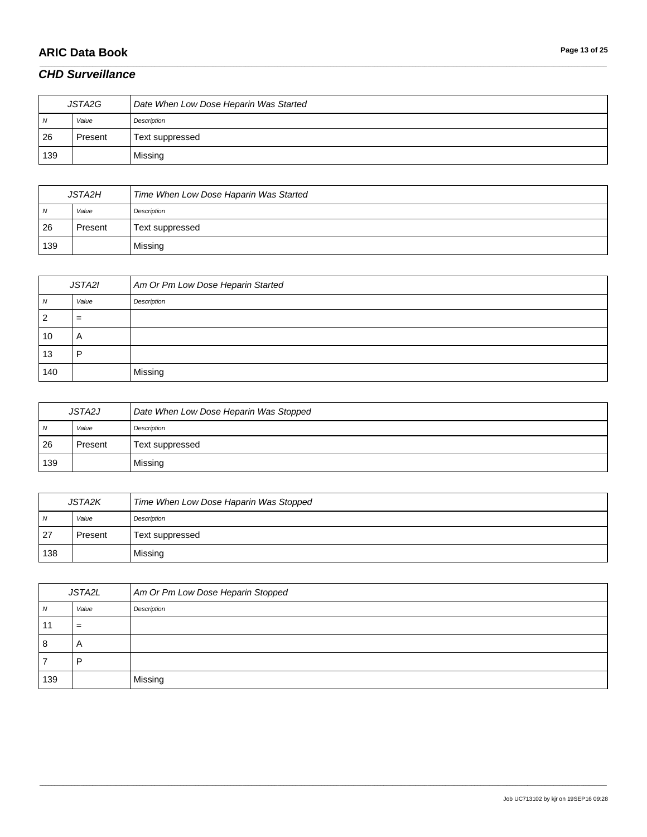# **ARIC Data Book Page 13 of 25**

### *CHD Surveillance*

| JSTA2G |         | Date When Low Dose Heparin Was Started |
|--------|---------|----------------------------------------|
| N      | Value   | Description                            |
| 26     | Present | Text suppressed                        |
| 139    |         | Missing                                |

\_\_\_\_\_\_\_\_\_\_\_\_\_\_\_\_\_\_\_\_\_\_\_\_\_\_\_\_\_\_\_\_\_\_\_\_\_\_\_\_\_\_\_\_\_\_\_\_\_\_\_\_\_\_\_\_\_\_\_\_\_\_\_\_\_\_\_\_\_\_\_\_\_\_\_\_\_\_\_\_\_\_\_\_\_\_\_\_\_\_\_\_\_\_\_\_\_\_\_\_\_\_\_\_\_\_\_\_\_\_\_\_\_\_\_\_\_\_\_\_\_\_\_\_\_\_\_\_\_\_\_\_\_\_\_\_\_\_\_\_\_\_\_\_\_\_\_\_\_\_\_\_\_\_\_\_\_\_\_\_\_\_\_\_\_\_\_\_\_\_\_\_\_\_\_\_\_\_\_\_\_\_\_\_\_\_\_\_\_\_\_\_\_

| <b>JSTA2H</b> |         | Time When Low Dose Haparin Was Started |
|---------------|---------|----------------------------------------|
| N             | Value   | Description                            |
| 26            | Present | Text suppressed                        |
| 139           |         | Missing                                |

| JSTA2I |       | Am Or Pm Low Dose Heparin Started |
|--------|-------|-----------------------------------|
| N      | Value | Description                       |
| 2      | $=$   |                                   |
| 10     | A     |                                   |
| 13     | D     |                                   |
| 140    |       | Missing                           |

| <b>JSTA2J</b> |         | Date When Low Dose Heparin Was Stopped |
|---------------|---------|----------------------------------------|
| N             | Value   | Description                            |
| 26            | Present | Text suppressed                        |
| 139           |         | Missing                                |

| <b>JSTA2K</b>  |         | Time When Low Dose Haparin Was Stopped |
|----------------|---------|----------------------------------------|
| $\overline{N}$ | Value   | Description                            |
| 27             | Present | Text suppressed                        |
| 138            |         | Missing                                |

| JSTA2L |              | Am Or Pm Low Dose Heparin Stopped |
|--------|--------------|-----------------------------------|
| N      | Value        | Description                       |
|        | =            |                                   |
| 8      | $\mathsf{H}$ |                                   |
|        |              |                                   |
| 139    |              | Missing                           |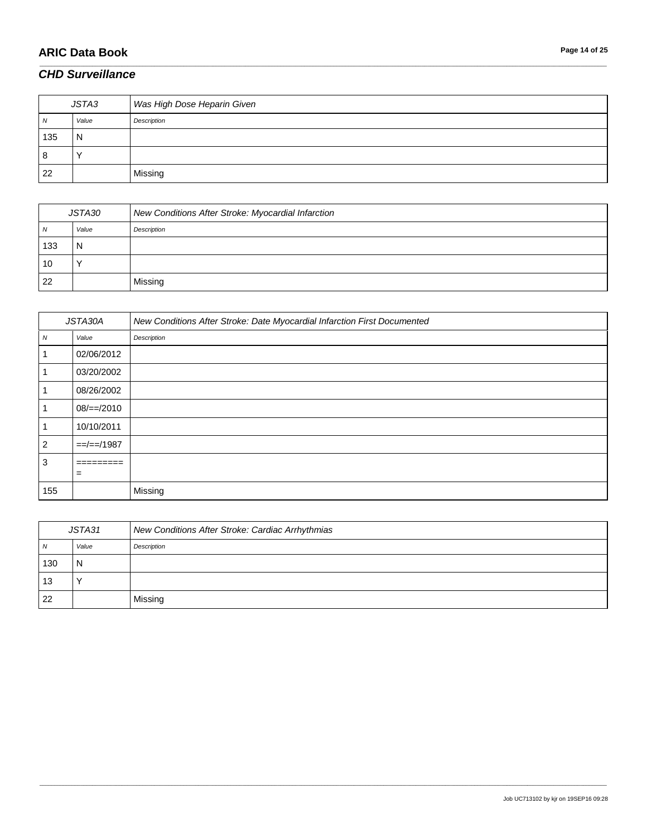# **ARIC Data Book Page 14 of 25**

### *CHD Surveillance*

| JSTA3 |       | Was High Dose Heparin Given |
|-------|-------|-----------------------------|
| N     | Value | Description                 |
| 135   | N     |                             |
| 8     |       |                             |
| 22    |       | Missing                     |

\_\_\_\_\_\_\_\_\_\_\_\_\_\_\_\_\_\_\_\_\_\_\_\_\_\_\_\_\_\_\_\_\_\_\_\_\_\_\_\_\_\_\_\_\_\_\_\_\_\_\_\_\_\_\_\_\_\_\_\_\_\_\_\_\_\_\_\_\_\_\_\_\_\_\_\_\_\_\_\_\_\_\_\_\_\_\_\_\_\_\_\_\_\_\_\_\_\_\_\_\_\_\_\_\_\_\_\_\_\_\_\_\_\_\_\_\_\_\_\_\_\_\_\_\_\_\_\_\_\_\_\_\_\_\_\_\_\_\_\_\_\_\_\_\_\_\_\_\_\_\_\_\_\_\_\_\_\_\_\_\_\_\_\_\_\_\_\_\_\_\_\_\_\_\_\_\_\_\_\_\_\_\_\_\_\_\_\_\_\_\_\_\_

| JSTA30 |       | New Conditions After Stroke: Myocardial Infarction |
|--------|-------|----------------------------------------------------|
| N      | Value | Description                                        |
| 133    | N     |                                                    |
| 10     |       |                                                    |
| 22     |       | Missing                                            |

| JSTA30A          |               | New Conditions After Stroke: Date Myocardial Infarction First Documented |
|------------------|---------------|--------------------------------------------------------------------------|
| $\boldsymbol{N}$ | Value         | Description                                                              |
|                  | 02/06/2012    |                                                                          |
|                  | 03/20/2002    |                                                                          |
|                  | 08/26/2002    |                                                                          |
|                  | $08/==/2010$  |                                                                          |
| -1               | 10/10/2011    |                                                                          |
| $\overline{2}$   | $=-/-=$ /1987 |                                                                          |
| 3                | $=$ ========  |                                                                          |
|                  | $=$           |                                                                          |
| 155              |               | Missing                                                                  |

| JSTA31 |       | New Conditions After Stroke: Cardiac Arrhythmias |
|--------|-------|--------------------------------------------------|
| N      | Value | Description                                      |
| 130    | N     |                                                  |
| 13     |       |                                                  |
| 22     |       | Missing                                          |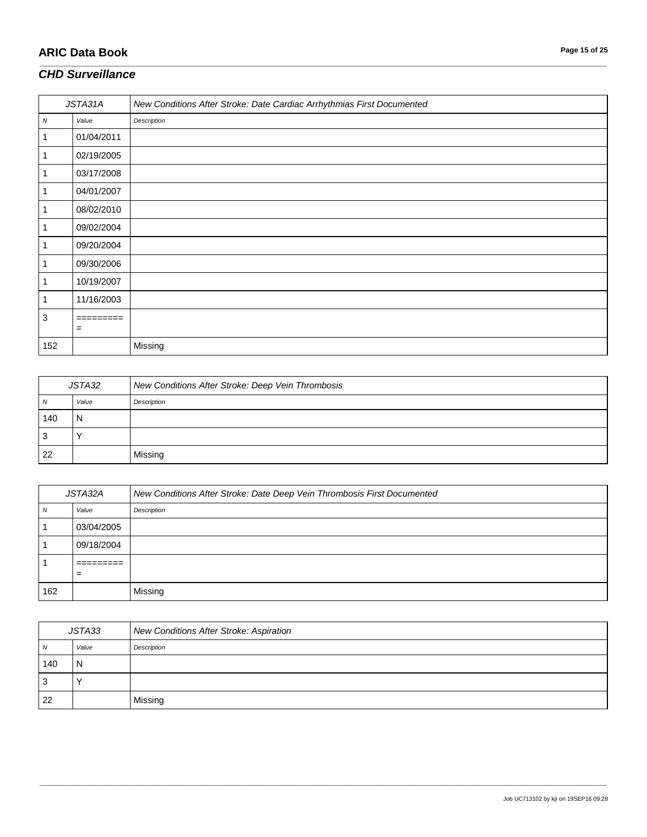# **ARIC Data Book Page 15 of 25**

#### *CHD Surveillance*

| JSTA31A |            | New Conditions After Stroke: Date Cardiac Arrhythmias First Documented |
|---------|------------|------------------------------------------------------------------------|
| N       | Value      | Description                                                            |
| 1       | 01/04/2011 |                                                                        |
|         | 02/19/2005 |                                                                        |
| 1       | 03/17/2008 |                                                                        |
| 1       | 04/01/2007 |                                                                        |
|         | 08/02/2010 |                                                                        |
|         | 09/02/2004 |                                                                        |
|         | 09/20/2004 |                                                                        |
|         | 09/30/2006 |                                                                        |
|         | 10/19/2007 |                                                                        |
| 1       | 11/16/2003 |                                                                        |
| 3       | =========  |                                                                        |
|         | $=$        |                                                                        |
| 152     |            | Missing                                                                |

\_\_\_\_\_\_\_\_\_\_\_\_\_\_\_\_\_\_\_\_\_\_\_\_\_\_\_\_\_\_\_\_\_\_\_\_\_\_\_\_\_\_\_\_\_\_\_\_\_\_\_\_\_\_\_\_\_\_\_\_\_\_\_\_\_\_\_\_\_\_\_\_\_\_\_\_\_\_\_\_\_\_\_\_\_\_\_\_\_\_\_\_\_\_\_\_\_\_\_\_\_\_\_\_\_\_\_\_\_\_\_\_\_\_\_\_\_\_\_\_\_\_\_\_\_\_\_\_\_\_\_\_\_\_\_\_\_\_\_\_\_\_\_\_\_\_\_\_\_\_\_\_\_\_\_\_\_\_\_\_\_\_\_\_\_\_\_\_\_\_\_\_\_\_\_\_\_\_\_\_\_\_\_\_\_\_\_\_\_\_\_\_\_

| JSTA32 |       | New Conditions After Stroke: Deep Vein Thrombosis |
|--------|-------|---------------------------------------------------|
| N      | Value | Description                                       |
| 140    | N     |                                                   |
| -3     |       |                                                   |
| 22     |       | Missing                                           |

| JSTA32A |            | New Conditions After Stroke: Date Deep Vein Thrombosis First Documented |
|---------|------------|-------------------------------------------------------------------------|
| N       | Value      | Description                                                             |
|         | 03/04/2005 |                                                                         |
|         | 09/18/2004 |                                                                         |
|         | $=$        |                                                                         |
| 162     |            | Missing                                                                 |

| JSTA33 |       | New Conditions After Stroke: Aspiration |
|--------|-------|-----------------------------------------|
| N      | Value | Description                             |
| 140    | N     |                                         |
| -3     |       |                                         |
| 22     |       | Missing                                 |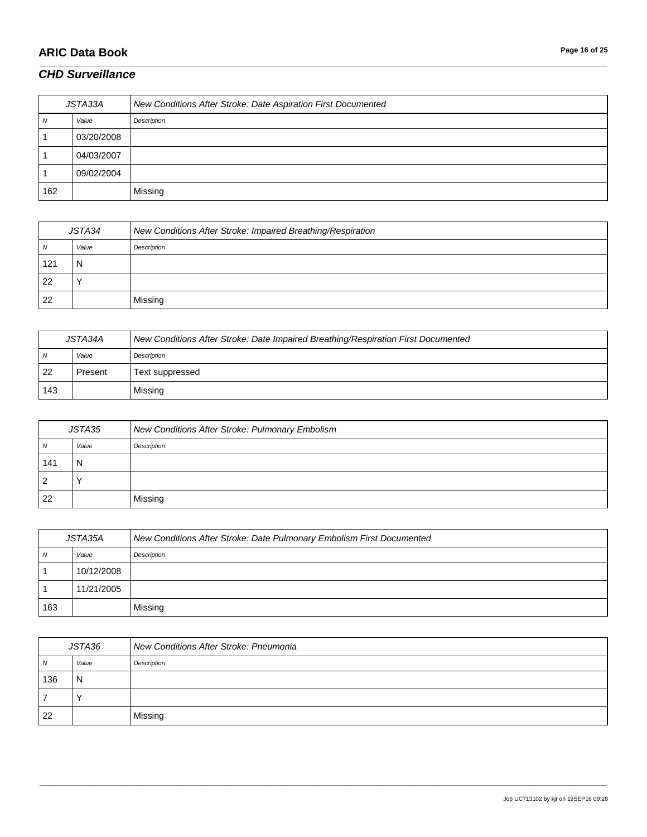# **ARIC Data Book Page 16 of 25**

#### *CHD Surveillance*

| JSTA33A |            | New Conditions After Stroke: Date Aspiration First Documented |
|---------|------------|---------------------------------------------------------------|
| N       | Value      | Description                                                   |
|         | 03/20/2008 |                                                               |
|         | 04/03/2007 |                                                               |
|         | 09/02/2004 |                                                               |
| 162     |            | Missing                                                       |

\_\_\_\_\_\_\_\_\_\_\_\_\_\_\_\_\_\_\_\_\_\_\_\_\_\_\_\_\_\_\_\_\_\_\_\_\_\_\_\_\_\_\_\_\_\_\_\_\_\_\_\_\_\_\_\_\_\_\_\_\_\_\_\_\_\_\_\_\_\_\_\_\_\_\_\_\_\_\_\_\_\_\_\_\_\_\_\_\_\_\_\_\_\_\_\_\_\_\_\_\_\_\_\_\_\_\_\_\_\_\_\_\_\_\_\_\_\_\_\_\_\_\_\_\_\_\_\_\_\_\_\_\_\_\_\_\_\_\_\_\_\_\_\_\_\_\_\_\_\_\_\_\_\_\_\_\_\_\_\_\_\_\_\_\_\_\_\_\_\_\_\_\_\_\_\_\_\_\_\_\_\_\_\_\_\_\_\_\_\_\_\_\_

| JSTA34 |       | New Conditions After Stroke: Impaired Breathing/Respiration |
|--------|-------|-------------------------------------------------------------|
| N      | Value | Description                                                 |
| 121    | N     |                                                             |
| -22    |       |                                                             |
| 22     |       | Missing                                                     |

| JSTA34A |         | New Conditions After Stroke: Date Impaired Breathing/Respiration First Documented |
|---------|---------|-----------------------------------------------------------------------------------|
| N       | Value   | Description                                                                       |
| -22     | Present | Text suppressed                                                                   |
| 143     |         | Missing                                                                           |

| JSTA35 |       | New Conditions After Stroke: Pulmonary Embolism |
|--------|-------|-------------------------------------------------|
| N      | Value | Description                                     |
| 141    | N     |                                                 |
| 2      |       |                                                 |
| -22    |       | Missing                                         |

| JSTA35A |            | New Conditions After Stroke: Date Pulmonary Embolism First Documented |
|---------|------------|-----------------------------------------------------------------------|
| N       | Value      | Description                                                           |
|         | 10/12/2008 |                                                                       |
|         | 11/21/2005 |                                                                       |
| 163     |            | Missing                                                               |

| JSTA36 |       | New Conditions After Stroke: Pneumonia |
|--------|-------|----------------------------------------|
| N      | Value | Description                            |
| 136    | N     |                                        |
|        |       |                                        |
| 22     |       | Missing                                |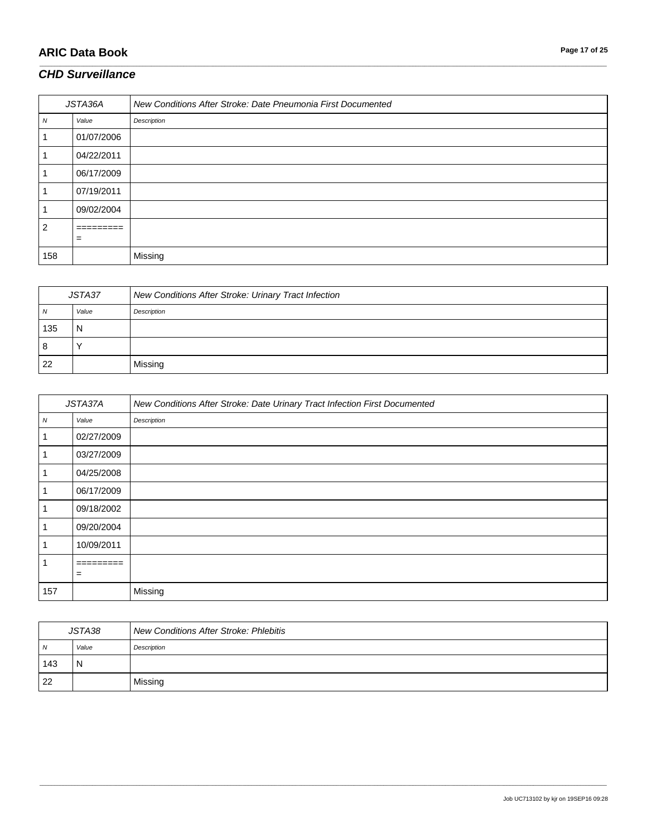# **ARIC Data Book Page 17 of 25**

#### *CHD Surveillance*

| JSTA36A        |                        | New Conditions After Stroke: Date Pneumonia First Documented |
|----------------|------------------------|--------------------------------------------------------------|
| N              | Value                  | Description                                                  |
|                | 01/07/2006             |                                                              |
|                | 04/22/2011             |                                                              |
|                | 06/17/2009             |                                                              |
|                | 07/19/2011             |                                                              |
|                | 09/02/2004             |                                                              |
| $\overline{2}$ | _________<br>_________ |                                                              |
|                | $\qquad \qquad =$      |                                                              |
| 158            |                        | Missing                                                      |

\_\_\_\_\_\_\_\_\_\_\_\_\_\_\_\_\_\_\_\_\_\_\_\_\_\_\_\_\_\_\_\_\_\_\_\_\_\_\_\_\_\_\_\_\_\_\_\_\_\_\_\_\_\_\_\_\_\_\_\_\_\_\_\_\_\_\_\_\_\_\_\_\_\_\_\_\_\_\_\_\_\_\_\_\_\_\_\_\_\_\_\_\_\_\_\_\_\_\_\_\_\_\_\_\_\_\_\_\_\_\_\_\_\_\_\_\_\_\_\_\_\_\_\_\_\_\_\_\_\_\_\_\_\_\_\_\_\_\_\_\_\_\_\_\_\_\_\_\_\_\_\_\_\_\_\_\_\_\_\_\_\_\_\_\_\_\_\_\_\_\_\_\_\_\_\_\_\_\_\_\_\_\_\_\_\_\_\_\_\_\_\_\_

| JSTA37 |       | New Conditions After Stroke: Urinary Tract Infection |
|--------|-------|------------------------------------------------------|
| N      | Value | Description                                          |
| 135    | N     |                                                      |
| l 8    |       |                                                      |
| 22     |       | Missing                                              |

| JSTA37A |            | New Conditions After Stroke: Date Urinary Tract Infection First Documented |
|---------|------------|----------------------------------------------------------------------------|
| N       | Value      | Description                                                                |
|         | 02/27/2009 |                                                                            |
|         | 03/27/2009 |                                                                            |
|         | 04/25/2008 |                                                                            |
|         | 06/17/2009 |                                                                            |
|         | 09/18/2002 |                                                                            |
|         | 09/20/2004 |                                                                            |
|         | 10/09/2011 |                                                                            |
|         |            |                                                                            |
|         | $=$        |                                                                            |
| 157     |            | Missing                                                                    |

| JSTA38 |       | <b>New Conditions After Stroke: Phlebitis</b> |
|--------|-------|-----------------------------------------------|
| N      | Value | Description                                   |
| 143    | N     |                                               |
| 22     |       | Missing                                       |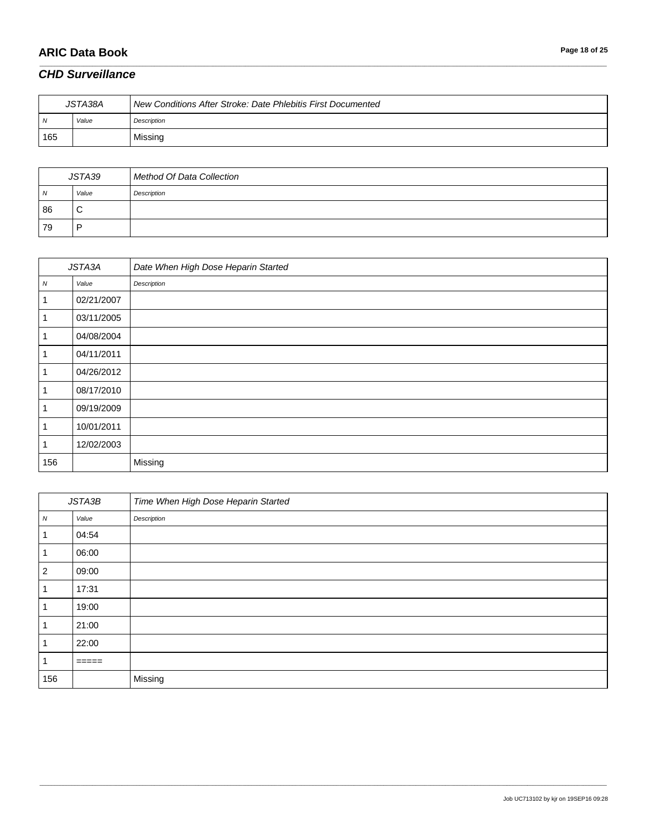## **ARIC Data Book Page 18 of 25**

### *CHD Surveillance*

| JSTA38A |       | New Conditions After Stroke: Date Phlebitis First Documented |
|---------|-------|--------------------------------------------------------------|
| N       | Value | Description                                                  |
| 165     |       | Missing                                                      |

\_\_\_\_\_\_\_\_\_\_\_\_\_\_\_\_\_\_\_\_\_\_\_\_\_\_\_\_\_\_\_\_\_\_\_\_\_\_\_\_\_\_\_\_\_\_\_\_\_\_\_\_\_\_\_\_\_\_\_\_\_\_\_\_\_\_\_\_\_\_\_\_\_\_\_\_\_\_\_\_\_\_\_\_\_\_\_\_\_\_\_\_\_\_\_\_\_\_\_\_\_\_\_\_\_\_\_\_\_\_\_\_\_\_\_\_\_\_\_\_\_\_\_\_\_\_\_\_\_\_\_\_\_\_\_\_\_\_\_\_\_\_\_\_\_\_\_\_\_\_\_\_\_\_\_\_\_\_\_\_\_\_\_\_\_\_\_\_\_\_\_\_\_\_\_\_\_\_\_\_\_\_\_\_\_\_\_\_\_\_\_\_\_

| JSTA39 |       | Method Of Data Collection |
|--------|-------|---------------------------|
| N      | Value | Description               |
| 86     | ◡     |                           |
| 79     | D     |                           |

| JSTA3A |            | Date When High Dose Heparin Started |
|--------|------------|-------------------------------------|
| N      | Value      | Description                         |
|        | 02/21/2007 |                                     |
|        | 03/11/2005 |                                     |
| 1      | 04/08/2004 |                                     |
| 1      | 04/11/2011 |                                     |
|        | 04/26/2012 |                                     |
|        | 08/17/2010 |                                     |
|        | 09/19/2009 |                                     |
|        | 10/01/2011 |                                     |
|        | 12/02/2003 |                                     |
| 156    |            | Missing                             |

| JSTA3B         |       | Time When High Dose Heparin Started |
|----------------|-------|-------------------------------------|
| ${\cal N}$     | Value | Description                         |
| 1              | 04:54 |                                     |
|                | 06:00 |                                     |
| $\overline{2}$ | 09:00 |                                     |
|                | 17:31 |                                     |
|                | 19:00 |                                     |
|                | 21:00 |                                     |
|                | 22:00 |                                     |
|                | ====  |                                     |
| 156            |       | Missing                             |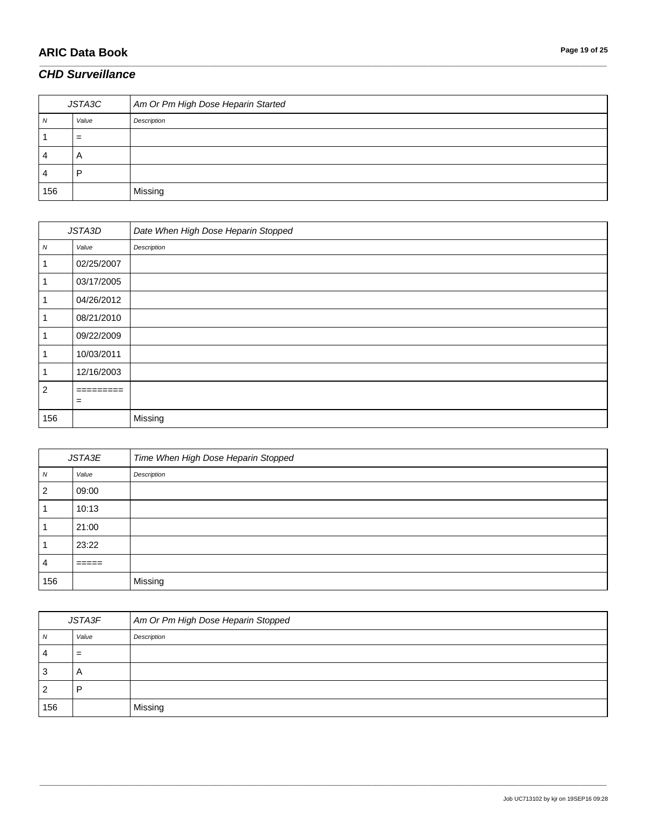# **ARIC Data Book Page 19 of 25**

#### *CHD Surveillance*

| JSTA3C |       | Am Or Pm High Dose Heparin Started |
|--------|-------|------------------------------------|
|        | Value | Description                        |
|        | $=$   |                                    |
| 4      | A     |                                    |
| 4      | D     |                                    |
| 156    |       | Missing                            |

\_\_\_\_\_\_\_\_\_\_\_\_\_\_\_\_\_\_\_\_\_\_\_\_\_\_\_\_\_\_\_\_\_\_\_\_\_\_\_\_\_\_\_\_\_\_\_\_\_\_\_\_\_\_\_\_\_\_\_\_\_\_\_\_\_\_\_\_\_\_\_\_\_\_\_\_\_\_\_\_\_\_\_\_\_\_\_\_\_\_\_\_\_\_\_\_\_\_\_\_\_\_\_\_\_\_\_\_\_\_\_\_\_\_\_\_\_\_\_\_\_\_\_\_\_\_\_\_\_\_\_\_\_\_\_\_\_\_\_\_\_\_\_\_\_\_\_\_\_\_\_\_\_\_\_\_\_\_\_\_\_\_\_\_\_\_\_\_\_\_\_\_\_\_\_\_\_\_\_\_\_\_\_\_\_\_\_\_\_\_\_\_\_

| JSTA3D           |            | Date When High Dose Heparin Stopped |
|------------------|------------|-------------------------------------|
| $\boldsymbol{N}$ | Value      | Description                         |
| 1                | 02/25/2007 |                                     |
|                  | 03/17/2005 |                                     |
|                  | 04/26/2012 |                                     |
| 1                | 08/21/2010 |                                     |
|                  | 09/22/2009 |                                     |
| -1               | 10/03/2011 |                                     |
| -1               | 12/16/2003 |                                     |
| $\overline{2}$   | =========  |                                     |
|                  | $=$        |                                     |
| 156              |            | Missing                             |

| JSTA3E |               | Time When High Dose Heparin Stopped |
|--------|---------------|-------------------------------------|
| N      | Value         | Description                         |
| 2      | 09:00         |                                     |
|        | 10:13         |                                     |
|        | 21:00         |                                     |
|        | 23:22         |                                     |
| 4      | _____<br>---- |                                     |
| 156    |               | Missing                             |

| JSTA3F |       | Am Or Pm High Dose Heparin Stopped |
|--------|-------|------------------------------------|
| N      | Value | Description                        |
| 4      | $=$   |                                    |
| 3      | A     |                                    |
| 2      | n     |                                    |
| 156    |       | Missing                            |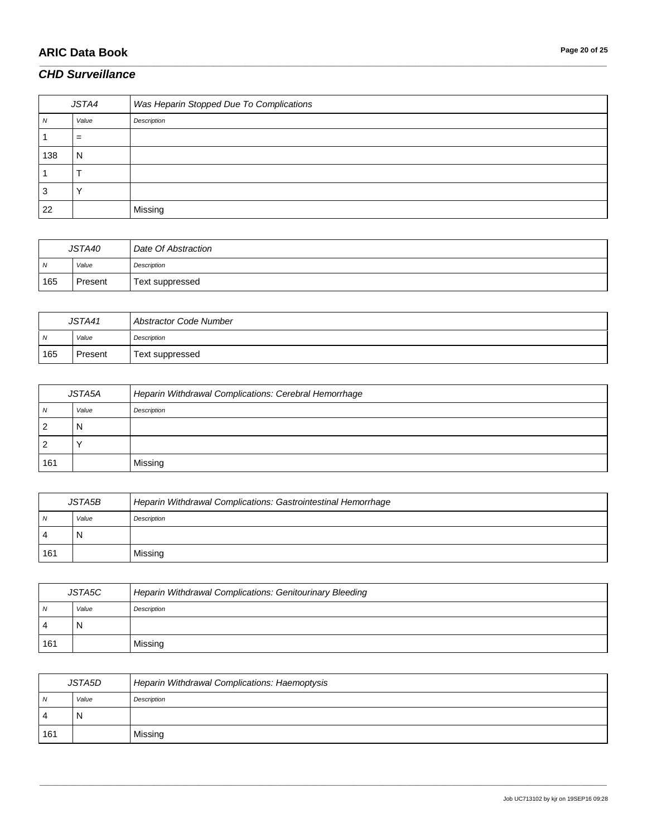# **ARIC Data Book Page 20 of 25**

#### *CHD Surveillance*

| JSTA4   |       | Was Heparin Stopped Due To Complications |
|---------|-------|------------------------------------------|
| N       | Value | Description                              |
|         | $=$   |                                          |
| 138     | N     |                                          |
|         |       |                                          |
| ◠<br>C, |       |                                          |
| 22      |       | Missing                                  |

\_\_\_\_\_\_\_\_\_\_\_\_\_\_\_\_\_\_\_\_\_\_\_\_\_\_\_\_\_\_\_\_\_\_\_\_\_\_\_\_\_\_\_\_\_\_\_\_\_\_\_\_\_\_\_\_\_\_\_\_\_\_\_\_\_\_\_\_\_\_\_\_\_\_\_\_\_\_\_\_\_\_\_\_\_\_\_\_\_\_\_\_\_\_\_\_\_\_\_\_\_\_\_\_\_\_\_\_\_\_\_\_\_\_\_\_\_\_\_\_\_\_\_\_\_\_\_\_\_\_\_\_\_\_\_\_\_\_\_\_\_\_\_\_\_\_\_\_\_\_\_\_\_\_\_\_\_\_\_\_\_\_\_\_\_\_\_\_\_\_\_\_\_\_\_\_\_\_\_\_\_\_\_\_\_\_\_\_\_\_\_\_\_

| JSTA40         |         | Date Of Abstraction |
|----------------|---------|---------------------|
| $\overline{N}$ | Value   | Description         |
| 165            | Present | Text suppressed     |

| JSTA41 |         | Abstractor Code Number |
|--------|---------|------------------------|
| N      | Value   | Description            |
| 165    | Present | Text suppressed        |

| JSTA5A |       | Heparin Withdrawal Complications: Cerebral Hemorrhage |
|--------|-------|-------------------------------------------------------|
| N      | Value | Description                                           |
|        | N     |                                                       |
|        |       |                                                       |
| 161    |       | Missing                                               |

| JSTA5B |       | Heparin Withdrawal Complications: Gastrointestinal Hemorrhage |
|--------|-------|---------------------------------------------------------------|
| N      | Value | Description                                                   |
| -4     | N     |                                                               |
| 161    |       | Missing                                                       |

| JSTA5C |       | Heparin Withdrawal Complications: Genitourinary Bleeding |
|--------|-------|----------------------------------------------------------|
| N      | Value | Description                                              |
| 4      | N     |                                                          |
| 161    |       | Missing                                                  |

| JSTA5D         |       | Heparin Withdrawal Complications: Haemoptysis |
|----------------|-------|-----------------------------------------------|
| N              | Value | Description                                   |
| $\overline{4}$ | N     |                                               |
| 161            |       | Missing                                       |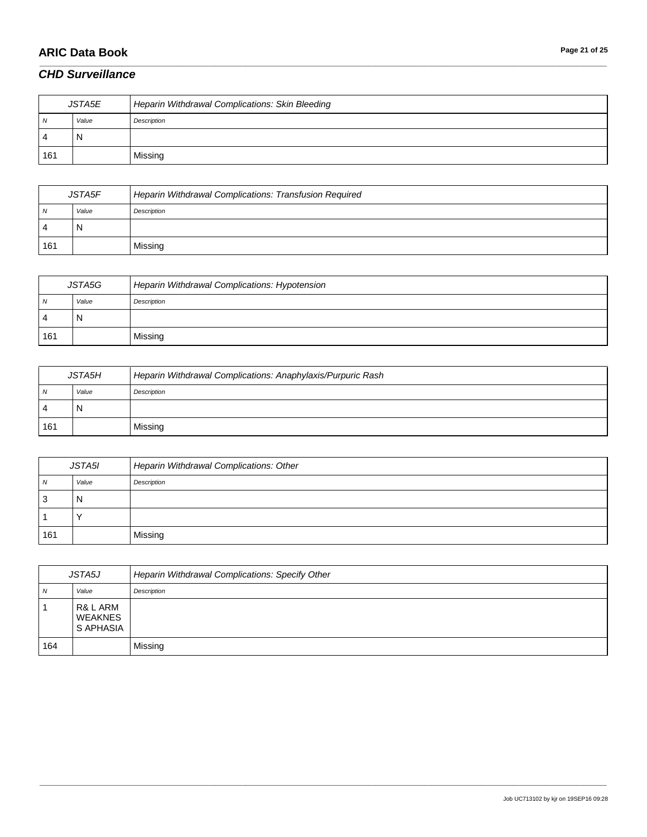# **ARIC Data Book Page 21 of 25**

#### *CHD Surveillance*

| JSTA5E |       | Heparin Withdrawal Complications: Skin Bleeding |
|--------|-------|-------------------------------------------------|
| N      | Value | Description                                     |
| 4      | N     |                                                 |
| 161    |       | Missing                                         |

\_\_\_\_\_\_\_\_\_\_\_\_\_\_\_\_\_\_\_\_\_\_\_\_\_\_\_\_\_\_\_\_\_\_\_\_\_\_\_\_\_\_\_\_\_\_\_\_\_\_\_\_\_\_\_\_\_\_\_\_\_\_\_\_\_\_\_\_\_\_\_\_\_\_\_\_\_\_\_\_\_\_\_\_\_\_\_\_\_\_\_\_\_\_\_\_\_\_\_\_\_\_\_\_\_\_\_\_\_\_\_\_\_\_\_\_\_\_\_\_\_\_\_\_\_\_\_\_\_\_\_\_\_\_\_\_\_\_\_\_\_\_\_\_\_\_\_\_\_\_\_\_\_\_\_\_\_\_\_\_\_\_\_\_\_\_\_\_\_\_\_\_\_\_\_\_\_\_\_\_\_\_\_\_\_\_\_\_\_\_\_\_\_

| JSTA5F |       | Heparin Withdrawal Complications: Transfusion Required |
|--------|-------|--------------------------------------------------------|
| N      | Value | Description                                            |
| 4      | N     |                                                        |
| 161    |       | Missing                                                |

| JSTA5G |       | Heparin Withdrawal Complications: Hypotension |
|--------|-------|-----------------------------------------------|
| N      | Value | Description                                   |
| 4      | N     |                                               |
| 161    |       | Missing                                       |

| <b>JSTA5H</b> |       | Heparin Withdrawal Complications: Anaphylaxis/Purpuric Rash |
|---------------|-------|-------------------------------------------------------------|
| N             | Value | Description                                                 |
| 4             | N     |                                                             |
| 161           |       | Missing                                                     |

| JSTA5I         |       | Heparin Withdrawal Complications: Other |
|----------------|-------|-----------------------------------------|
| $\overline{N}$ | Value | Description                             |
| 3              | N     |                                         |
|                |       |                                         |
| 161            |       | Missing                                 |

| <b>JSTA5J</b> |                                                | Heparin Withdrawal Complications: Specify Other |
|---------------|------------------------------------------------|-------------------------------------------------|
| N             | Value                                          | Description                                     |
|               | R& L ARM<br><b>WEAKNES</b><br><b>S APHASIA</b> |                                                 |
| 164           |                                                | Missing                                         |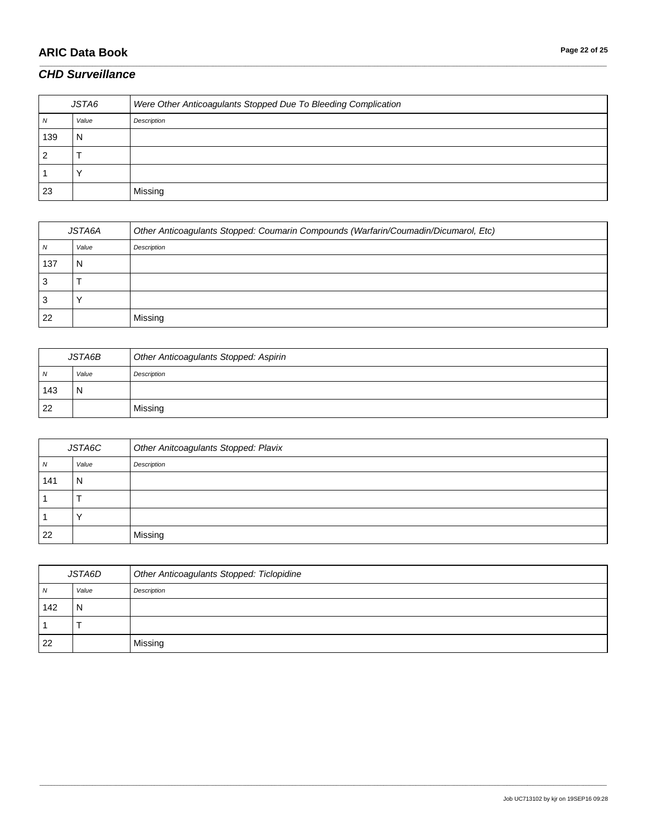# **ARIC Data Book Page 22 of 25**

#### *CHD Surveillance*

| JSTA6 |       | Were Other Anticoagulants Stopped Due To Bleeding Complication |
|-------|-------|----------------------------------------------------------------|
|       | Value | Description                                                    |
| 139   | N     |                                                                |
|       |       |                                                                |
|       |       |                                                                |
| 23    |       | Missing                                                        |

\_\_\_\_\_\_\_\_\_\_\_\_\_\_\_\_\_\_\_\_\_\_\_\_\_\_\_\_\_\_\_\_\_\_\_\_\_\_\_\_\_\_\_\_\_\_\_\_\_\_\_\_\_\_\_\_\_\_\_\_\_\_\_\_\_\_\_\_\_\_\_\_\_\_\_\_\_\_\_\_\_\_\_\_\_\_\_\_\_\_\_\_\_\_\_\_\_\_\_\_\_\_\_\_\_\_\_\_\_\_\_\_\_\_\_\_\_\_\_\_\_\_\_\_\_\_\_\_\_\_\_\_\_\_\_\_\_\_\_\_\_\_\_\_\_\_\_\_\_\_\_\_\_\_\_\_\_\_\_\_\_\_\_\_\_\_\_\_\_\_\_\_\_\_\_\_\_\_\_\_\_\_\_\_\_\_\_\_\_\_\_\_\_

| JSTA6A |       | Other Anticoagulants Stopped: Coumarin Compounds (Warfarin/Coumadin/Dicumarol, Etc) |
|--------|-------|-------------------------------------------------------------------------------------|
| ΙV     | Value | Description                                                                         |
| 137    | N     |                                                                                     |
|        |       |                                                                                     |
|        |       |                                                                                     |
| 22     |       | Missing                                                                             |

| JSTA6B |       | Other Anticoagulants Stopped: Aspirin |
|--------|-------|---------------------------------------|
| N      | Value | Description                           |
| 143    | N     |                                       |
| 22     |       | Missing                               |

| JSTA6C         |       | Other Anitcoagulants Stopped: Plavix |
|----------------|-------|--------------------------------------|
| $\overline{N}$ | Value | Description                          |
| 141            | N     |                                      |
|                |       |                                      |
|                |       |                                      |
| 22             |       | Missing                              |

| JSTA6D |       | Other Anticoagulants Stopped: Ticlopidine |
|--------|-------|-------------------------------------------|
| ΙV     | Value | Description                               |
| 142    | N     |                                           |
|        |       |                                           |
| 22     |       | Missing                                   |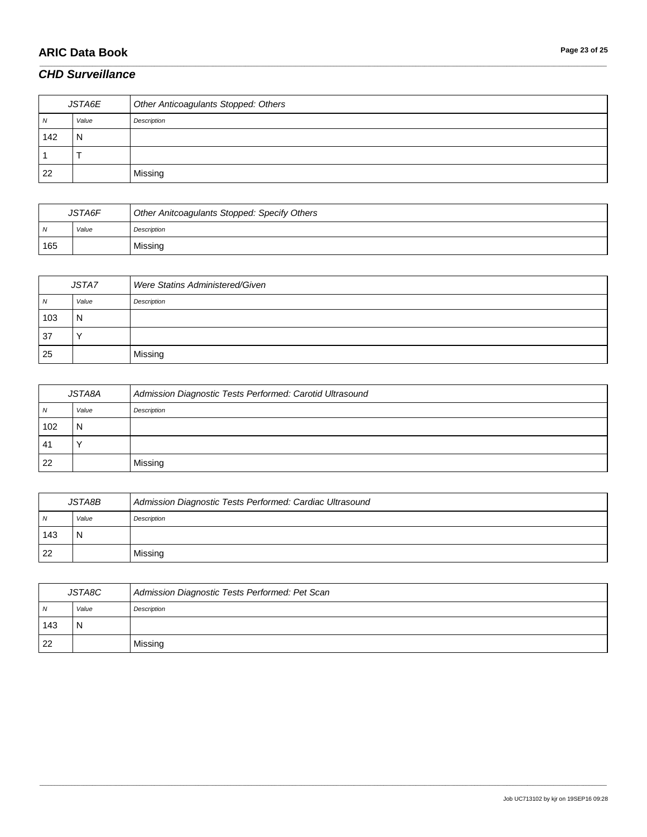# **ARIC Data Book Page 23 of 25**

#### *CHD Surveillance*

| JSTA6E |       | Other Anticoagulants Stopped: Others |
|--------|-------|--------------------------------------|
| 1V     | Value | Description                          |
| 142    | N     |                                      |
|        |       |                                      |
| 22     |       | Missing                              |

\_\_\_\_\_\_\_\_\_\_\_\_\_\_\_\_\_\_\_\_\_\_\_\_\_\_\_\_\_\_\_\_\_\_\_\_\_\_\_\_\_\_\_\_\_\_\_\_\_\_\_\_\_\_\_\_\_\_\_\_\_\_\_\_\_\_\_\_\_\_\_\_\_\_\_\_\_\_\_\_\_\_\_\_\_\_\_\_\_\_\_\_\_\_\_\_\_\_\_\_\_\_\_\_\_\_\_\_\_\_\_\_\_\_\_\_\_\_\_\_\_\_\_\_\_\_\_\_\_\_\_\_\_\_\_\_\_\_\_\_\_\_\_\_\_\_\_\_\_\_\_\_\_\_\_\_\_\_\_\_\_\_\_\_\_\_\_\_\_\_\_\_\_\_\_\_\_\_\_\_\_\_\_\_\_\_\_\_\_\_\_\_\_

| <b>JSTA6F</b> |       | Other Anitcoagulants Stopped: Specify Others |
|---------------|-------|----------------------------------------------|
| N             | Value | Description                                  |
| 165           |       | Missing                                      |

| JSTA7          |       | Were Statins Administered/Given |
|----------------|-------|---------------------------------|
| $\overline{M}$ | Value | Description                     |
| 103            | N     |                                 |
| 37             |       |                                 |
| 25             |       | Missing                         |

| JSTA8A |       | Admission Diagnostic Tests Performed: Carotid Ultrasound |
|--------|-------|----------------------------------------------------------|
| N      | Value | Description                                              |
| 102    | N     |                                                          |
| -41    |       |                                                          |
| 22     |       | Missing                                                  |

| JSTA8B         |       | Admission Diagnostic Tests Performed: Cardiac Ultrasound |
|----------------|-------|----------------------------------------------------------|
| $\overline{N}$ | Value | Description                                              |
| 143            | N     |                                                          |
| 22             |       | Missing                                                  |

| JSTA8C         |       | Admission Diagnostic Tests Performed: Pet Scan |
|----------------|-------|------------------------------------------------|
| $\overline{N}$ | Value | Description                                    |
| 143            | N     |                                                |
| 22             |       | Missing                                        |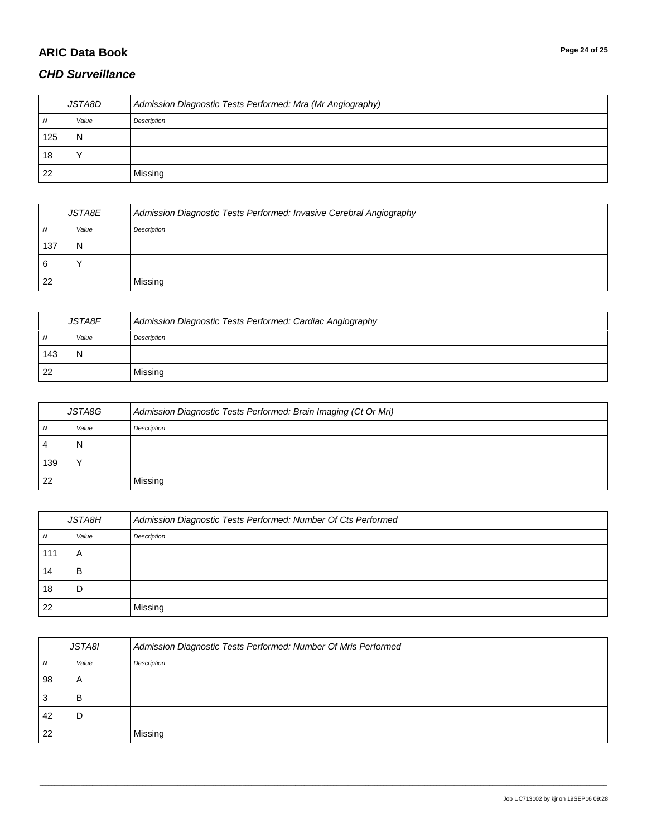## **ARIC Data Book Page 24 of 25**

### *CHD Surveillance*

| JSTA8D |       | Admission Diagnostic Tests Performed: Mra (Mr Angiography) |
|--------|-------|------------------------------------------------------------|
| N      | Value | Description                                                |
| 125    | N     |                                                            |
| 18     |       |                                                            |
| 22     |       | Missing                                                    |

\_\_\_\_\_\_\_\_\_\_\_\_\_\_\_\_\_\_\_\_\_\_\_\_\_\_\_\_\_\_\_\_\_\_\_\_\_\_\_\_\_\_\_\_\_\_\_\_\_\_\_\_\_\_\_\_\_\_\_\_\_\_\_\_\_\_\_\_\_\_\_\_\_\_\_\_\_\_\_\_\_\_\_\_\_\_\_\_\_\_\_\_\_\_\_\_\_\_\_\_\_\_\_\_\_\_\_\_\_\_\_\_\_\_\_\_\_\_\_\_\_\_\_\_\_\_\_\_\_\_\_\_\_\_\_\_\_\_\_\_\_\_\_\_\_\_\_\_\_\_\_\_\_\_\_\_\_\_\_\_\_\_\_\_\_\_\_\_\_\_\_\_\_\_\_\_\_\_\_\_\_\_\_\_\_\_\_\_\_\_\_\_\_

| JSTA8E |       | Admission Diagnostic Tests Performed: Invasive Cerebral Angiography |
|--------|-------|---------------------------------------------------------------------|
| N      | Value | Description                                                         |
| 137    |       |                                                                     |
| 6      |       |                                                                     |
| -22    |       | Missing                                                             |

| JSTA8F |       | Admission Diagnostic Tests Performed: Cardiac Angiography |
|--------|-------|-----------------------------------------------------------|
| N      | Value | Description                                               |
| 143    |       |                                                           |
| 22     |       | Missing                                                   |

| JSTA8G |       | Admission Diagnostic Tests Performed: Brain Imaging (Ct Or Mri) |
|--------|-------|-----------------------------------------------------------------|
| N      | Value | Description                                                     |
| -4     | N     |                                                                 |
| 139    |       |                                                                 |
| -22    |       | Missing                                                         |

| JSTA8H |       | Admission Diagnostic Tests Performed: Number Of Cts Performed |
|--------|-------|---------------------------------------------------------------|
| N      | Value | Description                                                   |
| 111    | A     |                                                               |
| 14     | в     |                                                               |
| 18     | D     |                                                               |
| 22     |       | Missing                                                       |

| JSTA8I |       | Admission Diagnostic Tests Performed: Number Of Mris Performed |
|--------|-------|----------------------------------------------------------------|
| N      | Value | Description                                                    |
| 98     | A     |                                                                |
| 3      | в     |                                                                |
| 42     | D     |                                                                |
| 22     |       | Missing                                                        |